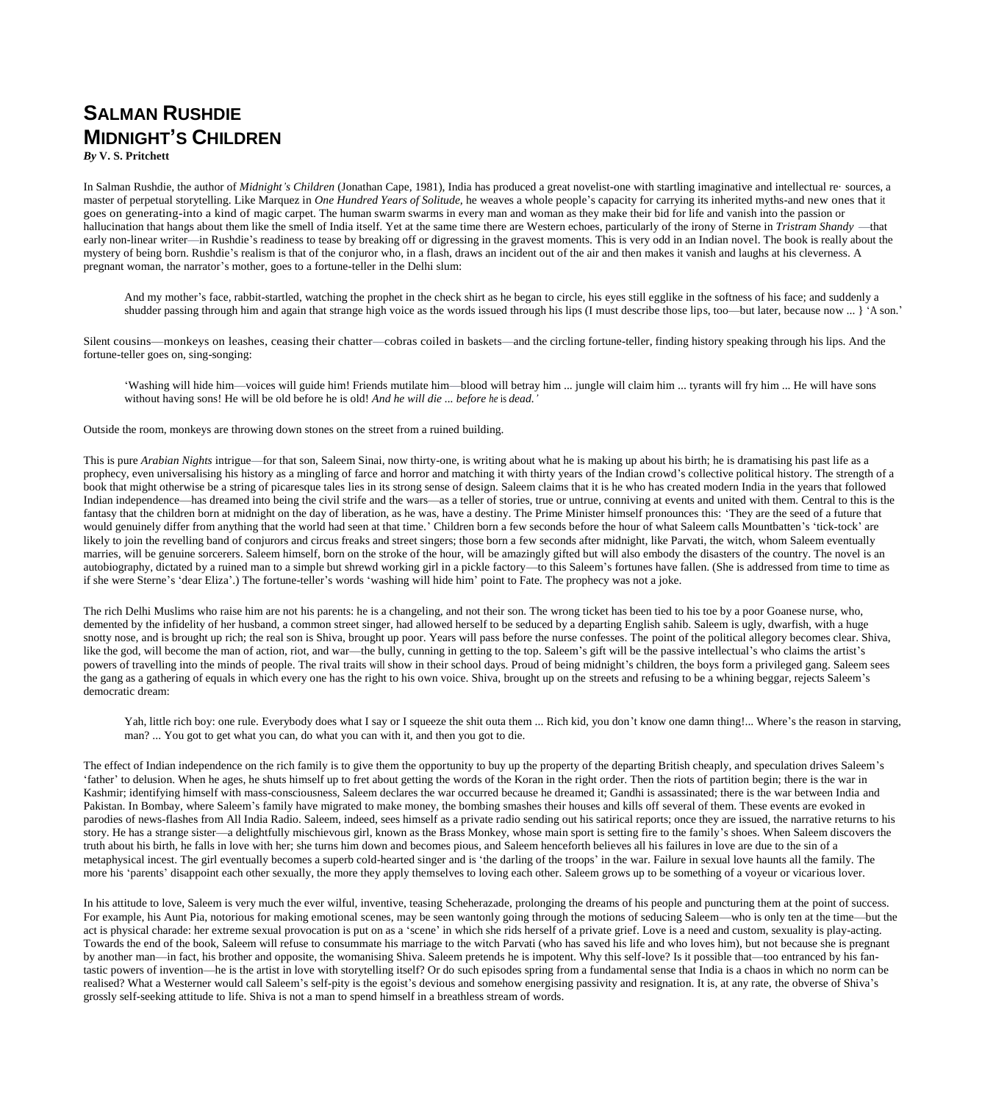## **SALMAN RUSHDIE MIDNIGHT'S CHILDREN**

*By* **V. S. Pritchett**

In Salman Rushdie, the author of *Midnight's Children* (Jonathan Cape, 1981), India has produced a great novelist-one with startling imaginative and intellectual re· sources, a master of perpetual storytelling. Like Marquez in *One Hundred Years of Solitude,* he weaves a whole people's capacity for carrying its inherited myths-and new ones that it goes on generating-into a kind of magic carpet. The human swarm swarms in every man and woman as they make their bid for life and vanish into the passion or hallucination that hangs about them like the smell of India itself. Yet at the same time there are Western echoes, particularly of the irony of Sterne in *Tristram Shandy* —that early non-linear writer—in Rushdie's readiness to tease by breaking off or digressing in the gravest moments. This is very odd in an Indian novel. The book is really about the mystery of being born. Rushdie's realism is that of the conjuror who, in a flash, draws an incident out of the air and then makes it vanish and laughs at his cleverness. A pregnant woman, the narrator's mother, goes to a fortune-teller in the Delhi slum:

And my mother's face, rabbit-startled, watching the prophet in the check shirt as he began to circle, his eyes still egglike in the softness of his face; and suddenly a shudder passing through him and again that strange high voice as the words issued through his lips (I must describe those lips, too—but later, because now ... } 'A son.'

Silent cousins—monkeys on leashes, ceasing their chatter—cobras coiled in baskets—and the circling fortune-teller, finding history speaking through his lips. And the fortune-teller goes on, sing-songing:

'Washing will hide him—voices will guide him! Friends mutilate him—blood will betray him ... jungle will claim him ... tyrants will fry him ... He will have sons without having sons! He will be old before he is old! *And he will die ... before he* is *dead.'*

Outside the room, monkeys are throwing down stones on the street from a ruined building.

This is pure *Arabian Nights* intrigue—for that son, Saleem Sinai, now thirty-one, is writing about what he is making up about his birth; he is dramatising his past life as a prophecy, even universalising his history as a mingling of farce and horror and matching it with thirty years of the Indian crowd's collective political history. The strength of a book that might otherwise be a string of picaresque tales lies in its strong sense of design. Saleem claims that it is he who has created modern India in the years that followed Indian independence—has dreamed into being the civil strife and the wars—as a teller of stories, true or untrue, conniving at events and united with them. Central to this is the fantasy that the children born at midnight on the day of liberation, as he was, have a destiny. The Prime Minister himself pronounces this: 'They are the seed of a future that would genuinely differ from anything that the world had seen at that time.' Children born a few seconds before the hour of what Saleem calls Mountbatten's 'tick-tock' are likely to join the revelling band of conjurors and circus freaks and street singers; those born a few seconds after midnight, like Parvati, the witch, whom Saleem eventually marries, will be genuine sorcerers. Saleem himself, born on the stroke of the hour, will be amazingly gifted but will also embody the disasters of the country. The novel is an autobiography, dictated by a ruined man to a simple but shrewd working girl in a pickle factory—to this Saleem's fortunes have fallen. (She is addressed from time to time as if she were Sterne's 'dear Eliza'.) The fortune-teller's words 'washing will hide him' point to Fate. The prophecy was not a joke.

The rich Delhi Muslims who raise him are not his parents: he is a changeling, and not their son. The wrong ticket has been tied to his toe by a poor Goanese nurse, who, demented by the infidelity of her husband, a common street singer, had allowed herself to be seduced by a departing English sahib. Saleem is ugly, dwarfish, with a huge snotty nose, and is brought up rich; the real son is Shiva, brought up poor. Years will pass before the nurse confesses. The point of the political allegory becomes clear. Shiva, like the god, will become the man of action, riot, and war—the bully, cunning in getting to the top. Saleem's gift will be the passive intellectual's who claims the artist's powers of travelling into the minds of people. The rival traits will show in their school days. Proud of being midnight's children, the boys form a privileged gang. Saleem sees the gang as a gathering of equals in which every one has the right to his own voice. Shiva, brought up on the streets and refusing to be a whining beggar, rejects Saleem's democratic dream:

Yah, little rich boy: one rule. Everybody does what I say or I squeeze the shit outa them ... Rich kid, you don't know one damn thing!... Where's the reason in starving, man? ... You got to get what you can, do what you can with it, and then you got to die.

The effect of Indian independence on the rich family is to give them the opportunity to buy up the property of the departing British cheaply, and speculation drives Saleem's 'father' to delusion. When he ages, he shuts himself up to fret about getting the words of the Koran in the right order. Then the riots of partition begin; there is the war in Kashmir; identifying himself with mass-consciousness, Saleem declares the war occurred because he dreamed it; Gandhi is assassinated; there is the war between India and Pakistan. In Bombay, where Saleem's family have migrated to make money, the bombing smashes their houses and kills off several of them. These events are evoked in parodies of news-flashes from All India Radio. Saleem, indeed, sees himself as a private radio sending out his satirical reports; once they are issued, the narrative returns to his story. He has a strange sister—a delightfully mischievous girl, known as the Brass Monkey, whose main sport is setting fire to the family's shoes. When Saleem discovers the truth about his birth, he falls in love with her; she turns him down and becomes pious, and Saleem henceforth believes all his failures in love are due to the sin of a metaphysical incest. The girl eventually becomes a superb cold-hearted singer and is 'the darling of the troops' in the war. Failure in sexual love haunts all the family. The more his 'parents' disappoint each other sexually, the more they apply themselves to loving each other. Saleem grows up to be something of a voyeur or vicarious lover.

In his attitude to love, Saleem is very much the ever wilful, inventive, teasing Scheherazade, prolonging the dreams of his people and puncturing them at the point of success. For example, his Aunt Pia, notorious for making emotional scenes, may be seen wantonly going through the motions of seducing Saleem—who is only ten at the time—but the act is physical charade: her extreme sexual provocation is put on as a 'scene' in which she rids herself of a private grief. Love is a need and custom, sexuality is play-acting. Towards the end of the book, Saleem will refuse to consummate his marriage to the witch Parvati (who has saved his life and who loves him), but not because she is pregnant by another man—in fact, his brother and opposite, the womanising Shiva. Saleem pretends he is impotent. Why this self-love? Is it possible that—too entranced by his fantastic powers of invention—he is the artist in love with storytelling itself? Or do such episodes spring from a fundamental sense that India is a chaos in which no norm can be realised? What a Westerner would call Saleem's self-pity is the egoist's devious and somehow energising passivity and resignation. It is, at any rate, the obverse of Shiva's grossly self-seeking attitude to life. Shiva is not a man to spend himself in a breathless stream of words.